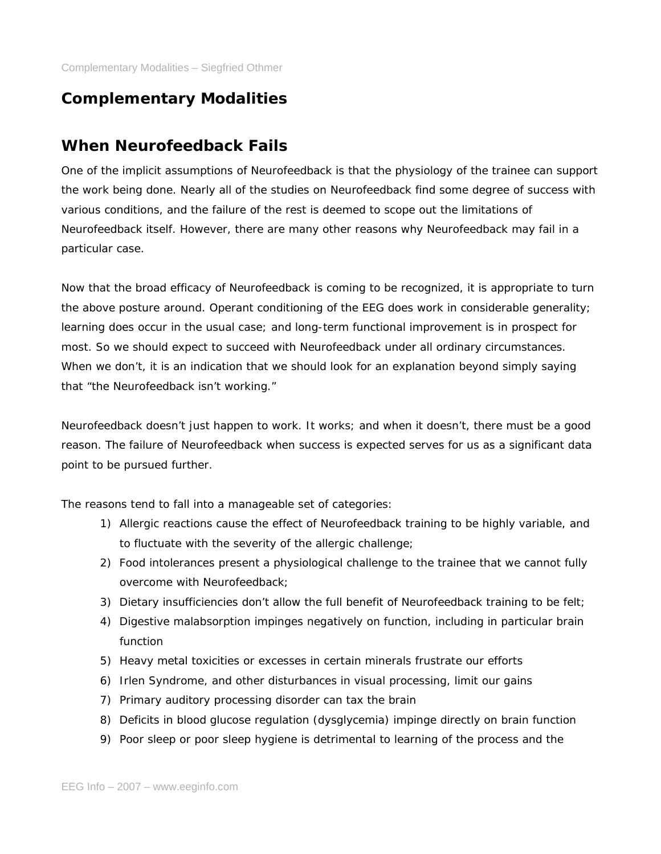# **Complementary Modalities**

# **When Neurofeedback Fails**

One of the implicit assumptions of Neurofeedback is that the physiology of the trainee can support the work being done. Nearly all of the studies on Neurofeedback find some degree of success with various conditions, and the failure of the rest is deemed to scope out the limitations of Neurofeedback itself. However, there are many other reasons why Neurofeedback may fail in a particular case.

Now that the broad efficacy of Neurofeedback is coming to be recognized, it is appropriate to turn the above posture around. Operant conditioning of the EEG does work in considerable generality; learning does occur in the usual case; and long-term functional improvement is in prospect for most. So we should expect to succeed with Neurofeedback under all ordinary circumstances. When we don't, it is an indication that we should look for an explanation beyond simply saying that "the Neurofeedback isn't working."

Neurofeedback doesn't just happen to work. It works; and when it doesn't, there must be a good reason. The failure of Neurofeedback when success is expected serves for us as a significant data point to be pursued further.

The reasons tend to fall into a manageable set of categories:

- 1) Allergic reactions cause the effect of Neurofeedback training to be highly variable, and to fluctuate with the severity of the allergic challenge;
- 2) Food intolerances present a physiological challenge to the trainee that we cannot fully overcome with Neurofeedback;
- 3) Dietary insufficiencies don't allow the full benefit of Neurofeedback training to be felt;
- 4) Digestive malabsorption impinges negatively on function, including in particular brain function
- 5) Heavy metal toxicities or excesses in certain minerals frustrate our efforts
- 6) Irlen Syndrome, and other disturbances in visual processing, limit our gains
- 7) Primary auditory processing disorder can tax the brain
- 8) Deficits in blood glucose regulation (dysglycemia) impinge directly on brain function
- 9) Poor sleep or poor sleep hygiene is detrimental to learning of the process and the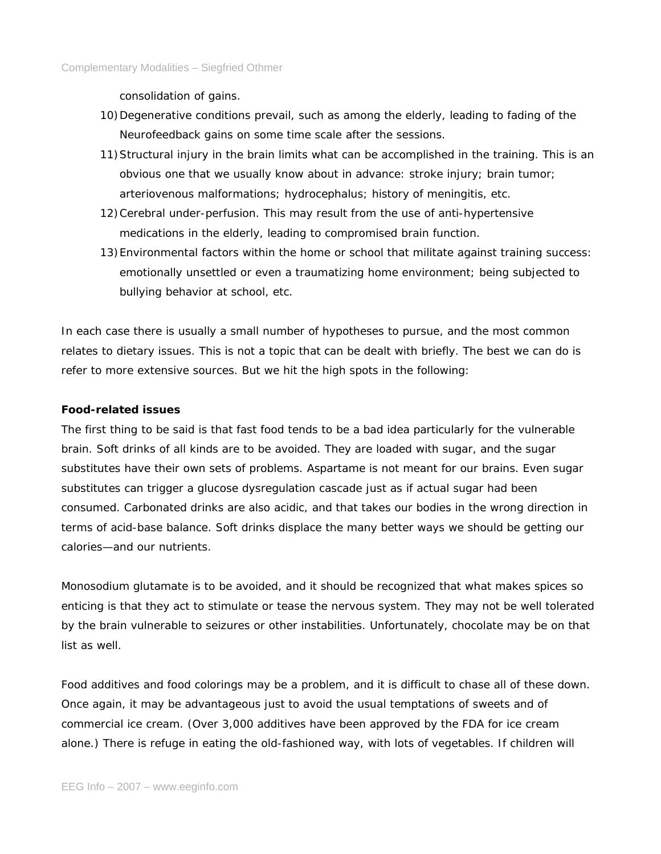consolidation of gains.

- 10)Degenerative conditions prevail, such as among the elderly, leading to fading of the Neurofeedback gains on some time scale after the sessions.
- 11)Structural injury in the brain limits what can be accomplished in the training. This is an obvious one that we usually know about in advance: stroke injury; brain tumor; arteriovenous malformations; hydrocephalus; history of meningitis, etc.
- 12)Cerebral under-perfusion. This may result from the use of anti-hypertensive medications in the elderly, leading to compromised brain function.
- 13)Environmental factors within the home or school that militate against training success: emotionally unsettled or even a traumatizing home environment; being subjected to bullying behavior at school, etc.

In each case there is usually a small number of hypotheses to pursue, and the most common relates to dietary issues. This is not a topic that can be dealt with briefly. The best we can do is refer to more extensive sources. But we hit the high spots in the following:

## **Food-related issues**

The first thing to be said is that fast food tends to be a bad idea particularly for the vulnerable brain. Soft drinks of all kinds are to be avoided. They are loaded with sugar, and the sugar substitutes have their own sets of problems. Aspartame is not meant for our brains. Even sugar substitutes can trigger a glucose dysregulation cascade just as if actual sugar had been consumed. Carbonated drinks are also acidic, and that takes our bodies in the wrong direction in terms of acid-base balance. Soft drinks displace the many better ways we should be getting our calories—and our nutrients.

Monosodium glutamate is to be avoided, and it should be recognized that what makes spices so enticing is that they act to stimulate or tease the nervous system. They may not be well tolerated by the brain vulnerable to seizures or other instabilities. Unfortunately, chocolate may be on that list as well.

Food additives and food colorings may be a problem, and it is difficult to chase all of these down. Once again, it may be advantageous just to avoid the usual temptations of sweets and of commercial ice cream. (Over 3,000 additives have been approved by the FDA for ice cream alone.) There is refuge in eating the old-fashioned way, with lots of vegetables. If children will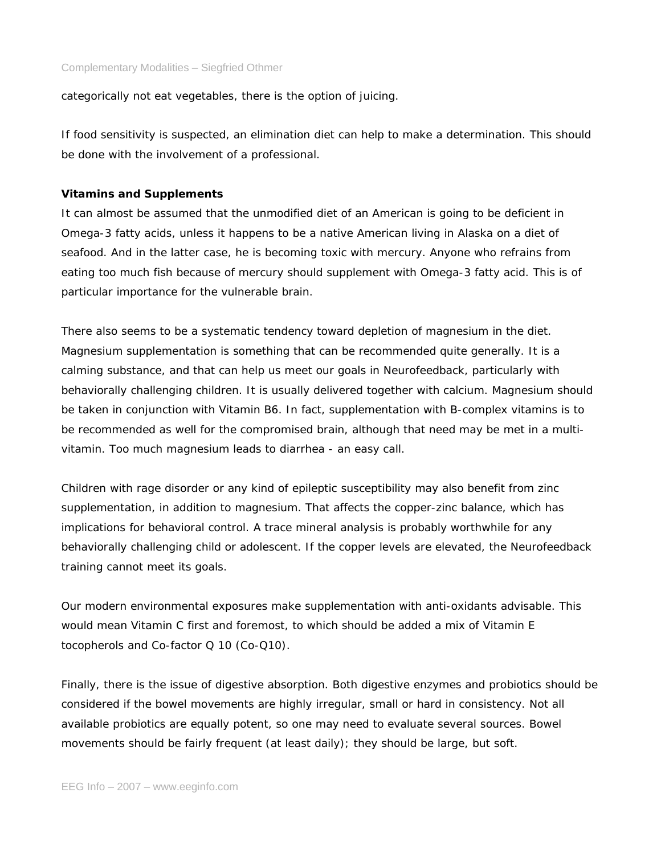categorically not eat vegetables, there is the option of juicing.

If food sensitivity is suspected, an elimination diet can help to make a determination. This should be done with the involvement of a professional.

#### **Vitamins and Supplements**

It can almost be assumed that the unmodified diet of an American is going to be deficient in Omega-3 fatty acids, unless it happens to be a native American living in Alaska on a diet of seafood. And in the latter case, he is becoming toxic with mercury. Anyone who refrains from eating too much fish because of mercury should supplement with Omega-3 fatty acid. This is of particular importance for the vulnerable brain.

There also seems to be a systematic tendency toward depletion of magnesium in the diet. Magnesium supplementation is something that can be recommended quite generally. It is a calming substance, and that can help us meet our goals in Neurofeedback, particularly with behaviorally challenging children. It is usually delivered together with calcium. Magnesium should be taken in conjunction with Vitamin B6. In fact, supplementation with B-complex vitamins is to be recommended as well for the compromised brain, although that need may be met in a multivitamin. Too much magnesium leads to diarrhea - an easy call.

Children with rage disorder or any kind of epileptic susceptibility may also benefit from zinc supplementation, in addition to magnesium. That affects the copper-zinc balance, which has implications for behavioral control. A trace mineral analysis is probably worthwhile for any behaviorally challenging child or adolescent. If the copper levels are elevated, the Neurofeedback training cannot meet its goals.

Our modern environmental exposures make supplementation with anti-oxidants advisable. This would mean Vitamin C first and foremost, to which should be added a mix of Vitamin E tocopherols and Co-factor Q 10 (Co-Q10).

Finally, there is the issue of digestive absorption. Both digestive enzymes and probiotics should be considered if the bowel movements are highly irregular, small or hard in consistency. Not all available probiotics are equally potent, so one may need to evaluate several sources. Bowel movements should be fairly frequent (at least daily); they should be large, but soft.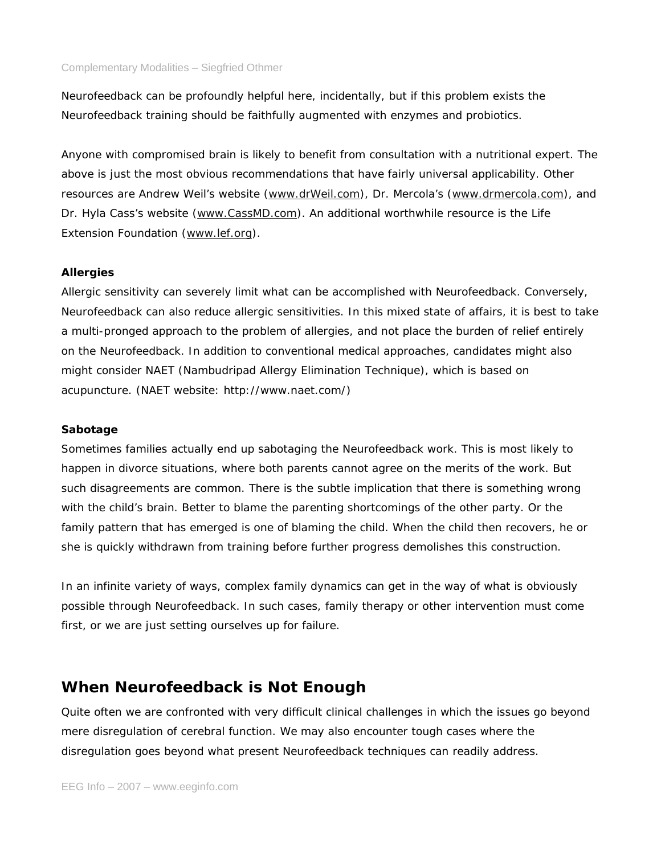Neurofeedback can be profoundly helpful here, incidentally, but if this problem exists the Neurofeedback training should be faithfully augmented with enzymes and probiotics.

Anyone with compromised brain is likely to benefit from consultation with a nutritional expert. The above is just the most obvious recommendations that have fairly universal applicability. Other resources are Andrew Weil's website (www.drWeil.com), Dr. Mercola's (www.drmercola.com), and Dr. Hyla Cass's website (www.CassMD.com). An additional worthwhile resource is the Life Extension Foundation (www.lef.org).

# **Allergies**

Allergic sensitivity can severely limit what can be accomplished with Neurofeedback. Conversely, Neurofeedback can also reduce allergic sensitivities. In this mixed state of affairs, it is best to take a multi-pronged approach to the problem of allergies, and not place the burden of relief entirely on the Neurofeedback. In addition to conventional medical approaches, candidates might also might consider NAET (Nambudripad Allergy Elimination Technique), which is based on acupuncture. (NAET website: http://www.naet.com/)

# **Sabotage**

Sometimes families actually end up sabotaging the Neurofeedback work. This is most likely to happen in divorce situations, where both parents cannot agree on the merits of the work. But such disagreements are common. There is the subtle implication that there is something wrong with the child's brain. Better to blame the parenting shortcomings of the other party. Or the family pattern that has emerged is one of blaming the child. When the child then recovers, he or she is quickly withdrawn from training before further progress demolishes this construction.

In an infinite variety of ways, complex family dynamics can get in the way of what is obviously possible through Neurofeedback. In such cases, family therapy or other intervention must come first, or we are just setting ourselves up for failure.

# **When Neurofeedback is Not Enough**

Quite often we are confronted with very difficult clinical challenges in which the issues go beyond mere disregulation of cerebral function. We may also encounter tough cases where the disregulation goes beyond what present Neurofeedback techniques can readily address.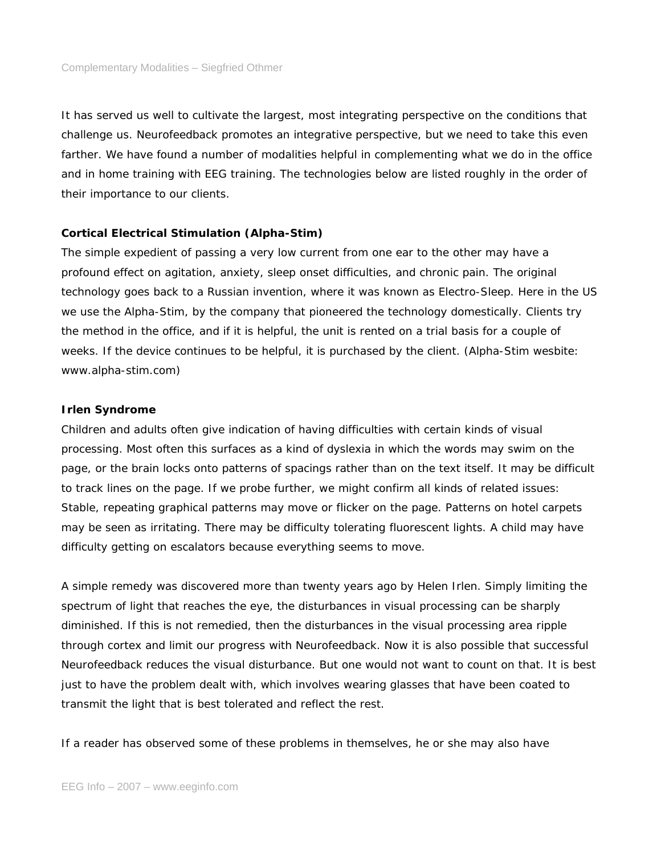It has served us well to cultivate the largest, most integrating perspective on the conditions that challenge us. Neurofeedback promotes an integrative perspective, but we need to take this even farther. We have found a number of modalities helpful in complementing what we do in the office and in home training with EEG training. The technologies below are listed roughly in the order of their importance to our clients.

### **Cortical Electrical Stimulation (Alpha-Stim)**

The simple expedient of passing a very low current from one ear to the other may have a profound effect on agitation, anxiety, sleep onset difficulties, and chronic pain. The original technology goes back to a Russian invention, where it was known as Electro-Sleep. Here in the US we use the Alpha-Stim, by the company that pioneered the technology domestically. Clients try the method in the office, and if it is helpful, the unit is rented on a trial basis for a couple of weeks. If the device continues to be helpful, it is purchased by the client. (Alpha-Stim wesbite: www.alpha-stim.com)

### **Irlen Syndrome**

Children and adults often give indication of having difficulties with certain kinds of visual processing. Most often this surfaces as a kind of dyslexia in which the words may swim on the page, or the brain locks onto patterns of spacings rather than on the text itself. It may be difficult to track lines on the page. If we probe further, we might confirm all kinds of related issues: Stable, repeating graphical patterns may move or flicker on the page. Patterns on hotel carpets may be seen as irritating. There may be difficulty tolerating fluorescent lights. A child may have difficulty getting on escalators because everything seems to move.

A simple remedy was discovered more than twenty years ago by Helen Irlen. Simply limiting the spectrum of light that reaches the eye, the disturbances in visual processing can be sharply diminished. If this is not remedied, then the disturbances in the visual processing area ripple through cortex and limit our progress with Neurofeedback. Now it is also possible that successful Neurofeedback reduces the visual disturbance. But one would not want to count on that. It is best just to have the problem dealt with, which involves wearing glasses that have been coated to transmit the light that is best tolerated and reflect the rest.

If a reader has observed some of these problems in themselves, he or she may also have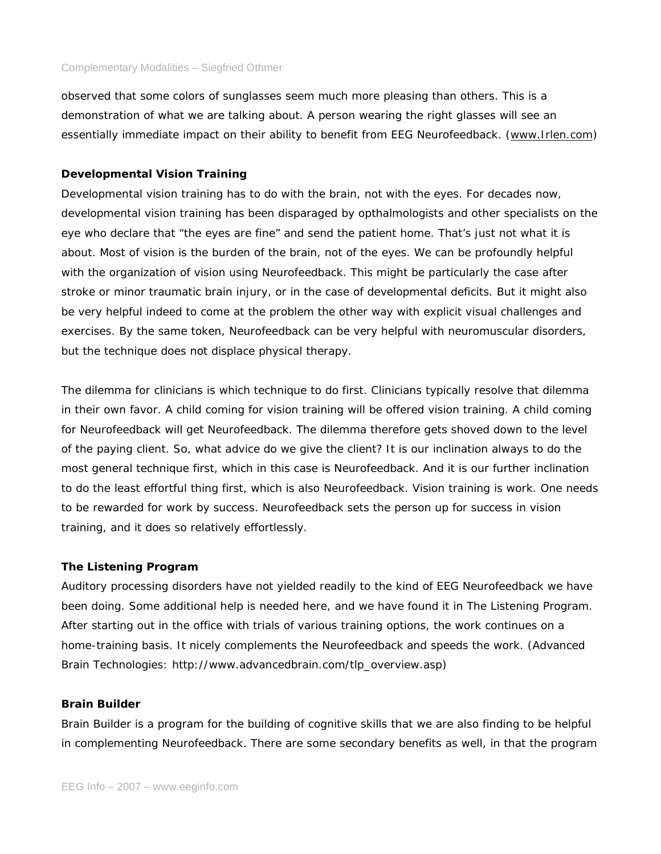observed that some colors of sunglasses seem much more pleasing than others. This is a demonstration of what we are talking about. A person wearing the right glasses will see an essentially immediate impact on their ability to benefit from EEG Neurofeedback. (www.Irlen.com)

### **Developmental Vision Training**

Developmental vision training has to do with the brain, not with the eyes. For decades now, developmental vision training has been disparaged by opthalmologists and other specialists on the eye who declare that "the eyes are fine" and send the patient home. That's just not what it is about. Most of vision is the burden of the brain, not of the eyes. We can be profoundly helpful with the organization of vision using Neurofeedback. This might be particularly the case after stroke or minor traumatic brain injury, or in the case of developmental deficits. But it might also be very helpful indeed to come at the problem the other way with explicit visual challenges and exercises. By the same token, Neurofeedback can be very helpful with neuromuscular disorders, but the technique does not displace physical therapy.

The dilemma for clinicians is which technique to do first. Clinicians typically resolve that dilemma in their own favor. A child coming for vision training will be offered vision training. A child coming for Neurofeedback will get Neurofeedback. The dilemma therefore gets shoved down to the level of the paying client. So, what advice do we give the client? It is our inclination always to do the most general technique first, which in this case is Neurofeedback. And it is our further inclination to do the least effortful thing first, which is also Neurofeedback. Vision training is work. One needs to be rewarded for work by success. Neurofeedback sets the person up for success in vision training, and it does so relatively effortlessly.

### **The Listening Program**

Auditory processing disorders have not yielded readily to the kind of EEG Neurofeedback we have been doing. Some additional help is needed here, and we have found it in The Listening Program. After starting out in the office with trials of various training options, the work continues on a home-training basis. It nicely complements the Neurofeedback and speeds the work. (Advanced Brain Technologies: http://www.advancedbrain.com/tlp\_overview.asp)

### **Brain Builder**

Brain Builder is a program for the building of cognitive skills that we are also finding to be helpful in complementing Neurofeedback. There are some secondary benefits as well, in that the program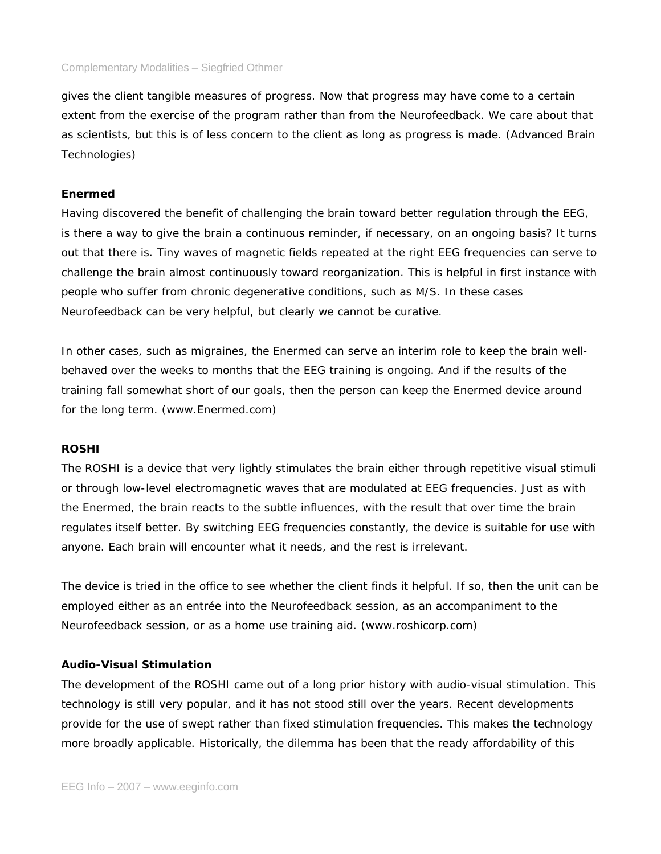gives the client tangible measures of progress. Now that progress may have come to a certain extent from the exercise of the program rather than from the Neurofeedback. We care about that as scientists, but this is of less concern to the client as long as progress is made. (Advanced Brain Technologies)

## **Enermed**

Having discovered the benefit of challenging the brain toward better regulation through the EEG, is there a way to give the brain a continuous reminder, if necessary, on an ongoing basis? It turns out that there is. Tiny waves of magnetic fields repeated at the right EEG frequencies can serve to challenge the brain almost continuously toward reorganization. This is helpful in first instance with people who suffer from chronic degenerative conditions, such as M/S. In these cases Neurofeedback can be very helpful, but clearly we cannot be curative.

In other cases, such as migraines, the Enermed can serve an interim role to keep the brain wellbehaved over the weeks to months that the EEG training is ongoing. And if the results of the training fall somewhat short of our goals, then the person can keep the Enermed device around for the long term. (www.Enermed.com)

### **ROSHI**

The ROSHI is a device that very lightly stimulates the brain either through repetitive visual stimuli or through low-level electromagnetic waves that are modulated at EEG frequencies. Just as with the Enermed, the brain reacts to the subtle influences, with the result that over time the brain regulates itself better. By switching EEG frequencies constantly, the device is suitable for use with anyone. Each brain will encounter what it needs, and the rest is irrelevant.

The device is tried in the office to see whether the client finds it helpful. If so, then the unit can be employed either as an entrée into the Neurofeedback session, as an accompaniment to the Neurofeedback session, or as a home use training aid. (www.roshicorp.com)

# **Audio-Visual Stimulation**

The development of the ROSHI came out of a long prior history with audio-visual stimulation. This technology is still very popular, and it has not stood still over the years. Recent developments provide for the use of swept rather than fixed stimulation frequencies. This makes the technology more broadly applicable. Historically, the dilemma has been that the ready affordability of this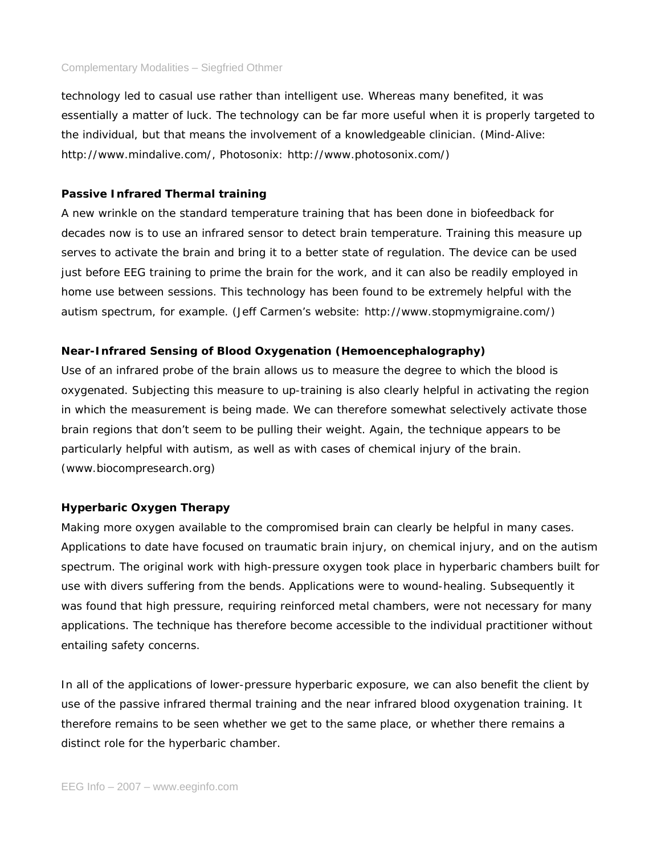technology led to casual use rather than intelligent use. Whereas many benefited, it was essentially a matter of luck. The technology can be far more useful when it is properly targeted to the individual, but that means the involvement of a knowledgeable clinician. (Mind-Alive: http://www.mindalive.com/, Photosonix: http://www.photosonix.com/)

### **Passive Infrared Thermal training**

A new wrinkle on the standard temperature training that has been done in biofeedback for decades now is to use an infrared sensor to detect brain temperature. Training this measure up serves to activate the brain and bring it to a better state of regulation. The device can be used just before EEG training to prime the brain for the work, and it can also be readily employed in home use between sessions. This technology has been found to be extremely helpful with the autism spectrum, for example. (Jeff Carmen's website: http://www.stopmymigraine.com/)

## **Near-Infrared Sensing of Blood Oxygenation (Hemoencephalography)**

Use of an infrared probe of the brain allows us to measure the degree to which the blood is oxygenated. Subjecting this measure to up-training is also clearly helpful in activating the region in which the measurement is being made. We can therefore somewhat selectively activate those brain regions that don't seem to be pulling their weight. Again, the technique appears to be particularly helpful with autism, as well as with cases of chemical injury of the brain. (www.biocompresearch.org)

### **Hyperbaric Oxygen Therapy**

Making more oxygen available to the compromised brain can clearly be helpful in many cases. Applications to date have focused on traumatic brain injury, on chemical injury, and on the autism spectrum. The original work with high-pressure oxygen took place in hyperbaric chambers built for use with divers suffering from the bends. Applications were to wound-healing. Subsequently it was found that high pressure, requiring reinforced metal chambers, were not necessary for many applications. The technique has therefore become accessible to the individual practitioner without entailing safety concerns.

In all of the applications of lower-pressure hyperbaric exposure, we can also benefit the client by use of the passive infrared thermal training and the near infrared blood oxygenation training. It therefore remains to be seen whether we get to the same place, or whether there remains a distinct role for the hyperbaric chamber.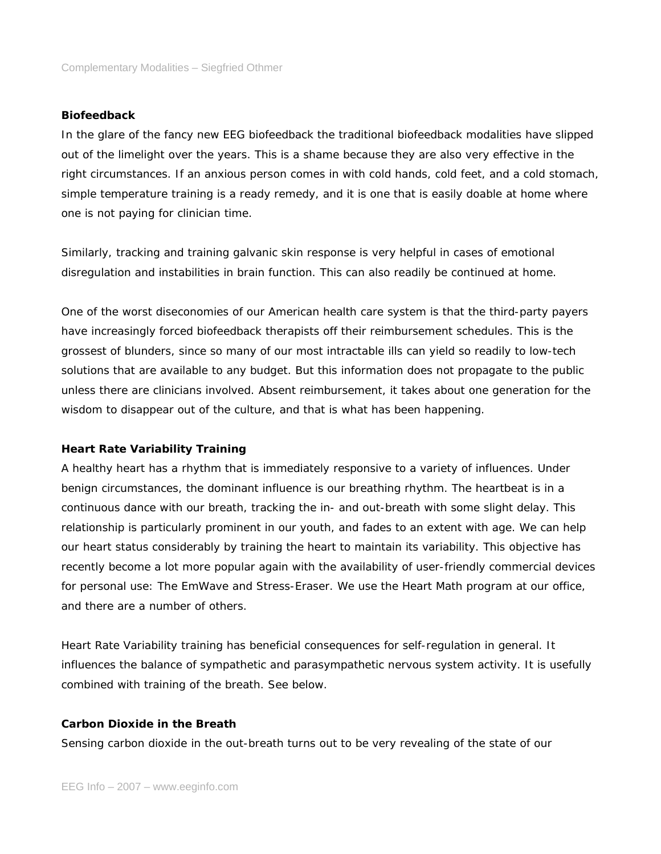## **Biofeedback**

In the glare of the fancy new EEG biofeedback the traditional biofeedback modalities have slipped out of the limelight over the years. This is a shame because they are also very effective in the right circumstances. If an anxious person comes in with cold hands, cold feet, and a cold stomach, simple temperature training is a ready remedy, and it is one that is easily doable at home where one is not paying for clinician time.

Similarly, tracking and training galvanic skin response is very helpful in cases of emotional disregulation and instabilities in brain function. This can also readily be continued at home.

One of the worst diseconomies of our American health care system is that the third-party payers have increasingly forced biofeedback therapists off their reimbursement schedules. This is the grossest of blunders, since so many of our most intractable ills can yield so readily to low-tech solutions that are available to any budget. But this information does not propagate to the public unless there are clinicians involved. Absent reimbursement, it takes about one generation for the wisdom to disappear out of the culture, and that is what has been happening.

#### **Heart Rate Variability Training**

A healthy heart has a rhythm that is immediately responsive to a variety of influences. Under benign circumstances, the dominant influence is our breathing rhythm. The heartbeat is in a continuous dance with our breath, tracking the in- and out-breath with some slight delay. This relationship is particularly prominent in our youth, and fades to an extent with age. We can help our heart status considerably by training the heart to maintain its variability. This objective has recently become a lot more popular again with the availability of user-friendly commercial devices for personal use: The EmWave and Stress-Eraser. We use the Heart Math program at our office, and there are a number of others.

Heart Rate Variability training has beneficial consequences for self-regulation in general. It influences the balance of sympathetic and parasympathetic nervous system activity. It is usefully combined with training of the breath. See below.

## **Carbon Dioxide in the Breath**

Sensing carbon dioxide in the out-breath turns out to be very revealing of the state of our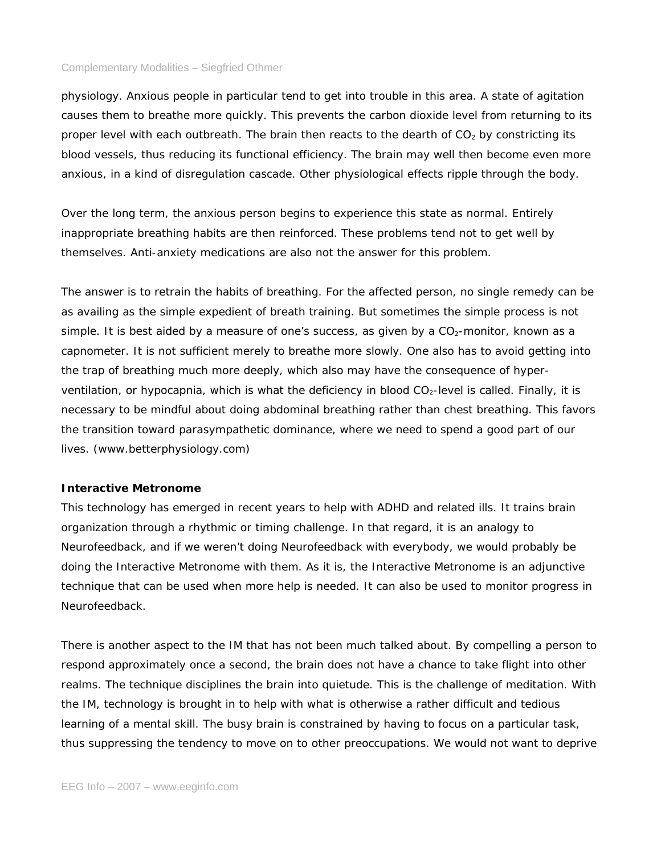physiology. Anxious people in particular tend to get into trouble in this area. A state of agitation causes them to breathe more quickly. This prevents the carbon dioxide level from returning to its proper level with each outbreath. The brain then reacts to the dearth of  $CO<sub>2</sub>$  by constricting its blood vessels, thus reducing its functional efficiency. The brain may well then become even more anxious, in a kind of disregulation cascade. Other physiological effects ripple through the body.

Over the long term, the anxious person begins to experience this state as normal. Entirely inappropriate breathing habits are then reinforced. These problems tend not to get well by themselves. Anti-anxiety medications are also not the answer for this problem.

The answer is to retrain the habits of breathing. For the affected person, no single remedy can be as availing as the simple expedient of breath training. But sometimes the simple process is not simple. It is best aided by a measure of one's success, as given by a  $CO<sub>2</sub>$ -monitor, known as a capnometer. It is not sufficient merely to breathe more slowly. One also has to avoid getting into the trap of breathing much more deeply, which also may have the consequence of hyperventilation, or hypocapnia, which is what the deficiency in blood CO<sub>2</sub>-level is called. Finally, it is necessary to be mindful about doing abdominal breathing rather than chest breathing. This favors the transition toward parasympathetic dominance, where we need to spend a good part of our lives. (www.betterphysiology.com)

#### **Interactive Metronome**

This technology has emerged in recent years to help with ADHD and related ills. It trains brain organization through a rhythmic or timing challenge. In that regard, it is an analogy to Neurofeedback, and if we weren't doing Neurofeedback with everybody, we would probably be doing the Interactive Metronome with them. As it is, the Interactive Metronome is an adjunctive technique that can be used when more help is needed. It can also be used to monitor progress in Neurofeedback.

There is another aspect to the IM that has not been much talked about. By compelling a person to respond approximately once a second, the brain does not have a chance to take flight into other realms. The technique disciplines the brain into quietude. This is the challenge of meditation. With the IM, technology is brought in to help with what is otherwise a rather difficult and tedious learning of a mental skill. The busy brain is constrained by having to focus on a particular task, thus suppressing the tendency to move on to other preoccupations. We would not want to deprive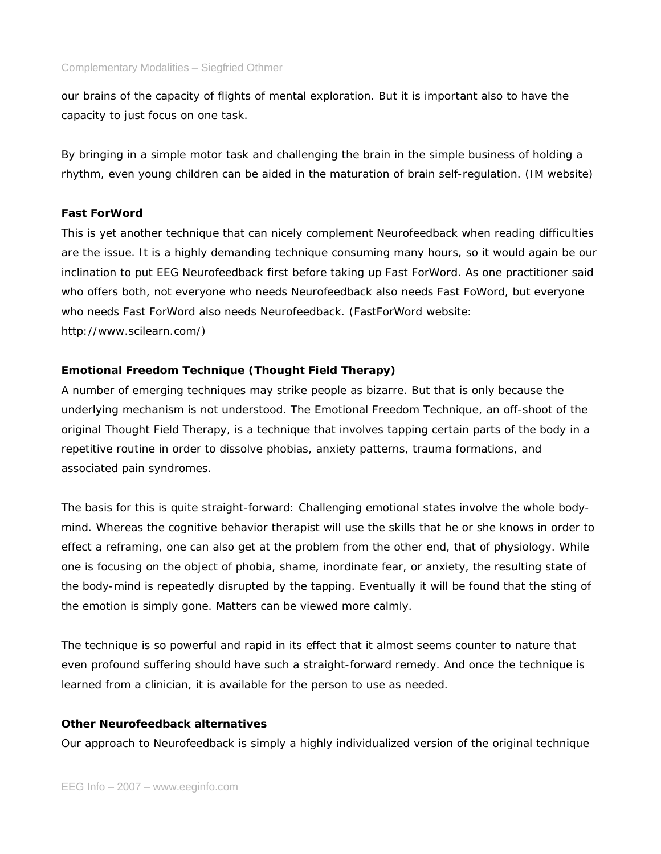our brains of the capacity of flights of mental exploration. But it is important also to have the capacity to just focus on one task.

By bringing in a simple motor task and challenging the brain in the simple business of holding a rhythm, even young children can be aided in the maturation of brain self-regulation. (IM website)

# **Fast ForWord**

This is yet another technique that can nicely complement Neurofeedback when reading difficulties are the issue. It is a highly demanding technique consuming many hours, so it would again be our inclination to put EEG Neurofeedback first before taking up Fast ForWord. As one practitioner said who offers both, not everyone who needs Neurofeedback also needs Fast FoWord, but everyone who needs Fast ForWord also needs Neurofeedback. (FastForWord website: http://www.scilearn.com/)

# **Emotional Freedom Technique (Thought Field Therapy)**

A number of emerging techniques may strike people as bizarre. But that is only because the underlying mechanism is not understood. The Emotional Freedom Technique, an off-shoot of the original Thought Field Therapy, is a technique that involves tapping certain parts of the body in a repetitive routine in order to dissolve phobias, anxiety patterns, trauma formations, and associated pain syndromes.

The basis for this is quite straight-forward: Challenging emotional states involve the whole bodymind. Whereas the cognitive behavior therapist will use the skills that he or she knows in order to effect a reframing, one can also get at the problem from the other end, that of physiology. While one is focusing on the object of phobia, shame, inordinate fear, or anxiety, the resulting state of the body-mind is repeatedly disrupted by the tapping. Eventually it will be found that the sting of the emotion is simply gone. Matters can be viewed more calmly.

The technique is so powerful and rapid in its effect that it almost seems counter to nature that even profound suffering should have such a straight-forward remedy. And once the technique is learned from a clinician, it is available for the person to use as needed.

## **Other Neurofeedback alternatives**

Our approach to Neurofeedback is simply a highly individualized version of the original technique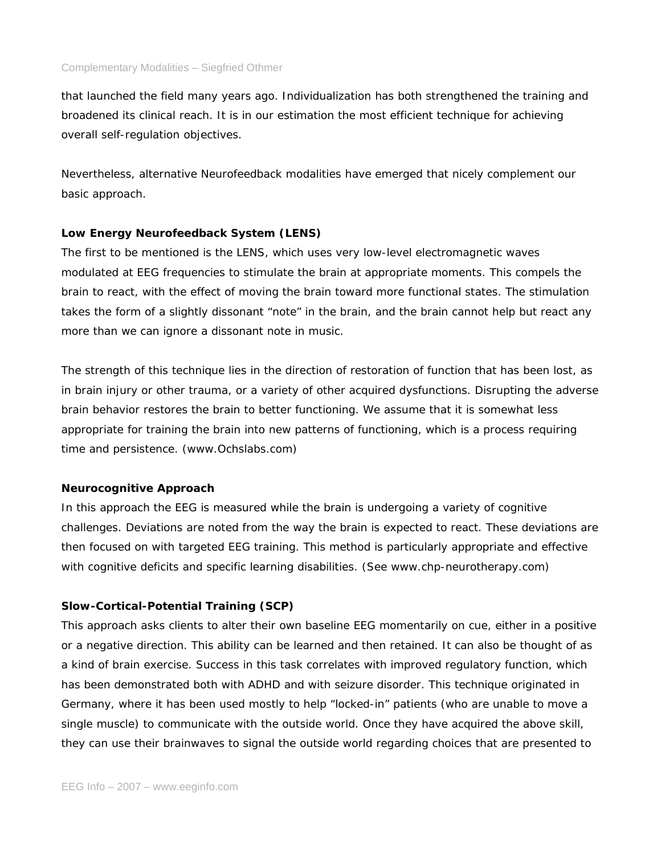that launched the field many years ago. Individualization has both strengthened the training and broadened its clinical reach. It is in our estimation the most efficient technique for achieving overall self-regulation objectives.

Nevertheless, alternative Neurofeedback modalities have emerged that nicely complement our basic approach.

## **Low Energy Neurofeedback System (LENS)**

The first to be mentioned is the LENS, which uses very low-level electromagnetic waves modulated at EEG frequencies to stimulate the brain at appropriate moments. This compels the brain to react, with the effect of moving the brain toward more functional states. The stimulation takes the form of a slightly dissonant "note" in the brain, and the brain cannot help but react any more than we can ignore a dissonant note in music.

The strength of this technique lies in the direction of restoration of function that has been lost, as in brain injury or other trauma, or a variety of other acquired dysfunctions. Disrupting the adverse brain behavior restores the brain to better functioning. We assume that it is somewhat less appropriate for training the brain into new patterns of functioning, which is a process requiring time and persistence. (www.Ochslabs.com)

# **Neurocognitive Approach**

In this approach the EEG is measured while the brain is undergoing a variety of cognitive challenges. Deviations are noted from the way the brain is expected to react. These deviations are then focused on with targeted EEG training. This method is particularly appropriate and effective with cognitive deficits and specific learning disabilities. (See www.chp-neurotherapy.com)

# **Slow-Cortical-Potential Training (SCP)**

This approach asks clients to alter their own baseline EEG momentarily on cue, either in a positive or a negative direction. This ability can be learned and then retained. It can also be thought of as a kind of brain exercise. Success in this task correlates with improved regulatory function, which has been demonstrated both with ADHD and with seizure disorder. This technique originated in Germany, where it has been used mostly to help "locked-in" patients (who are unable to move a single muscle) to communicate with the outside world. Once they have acquired the above skill, they can use their brainwaves to signal the outside world regarding choices that are presented to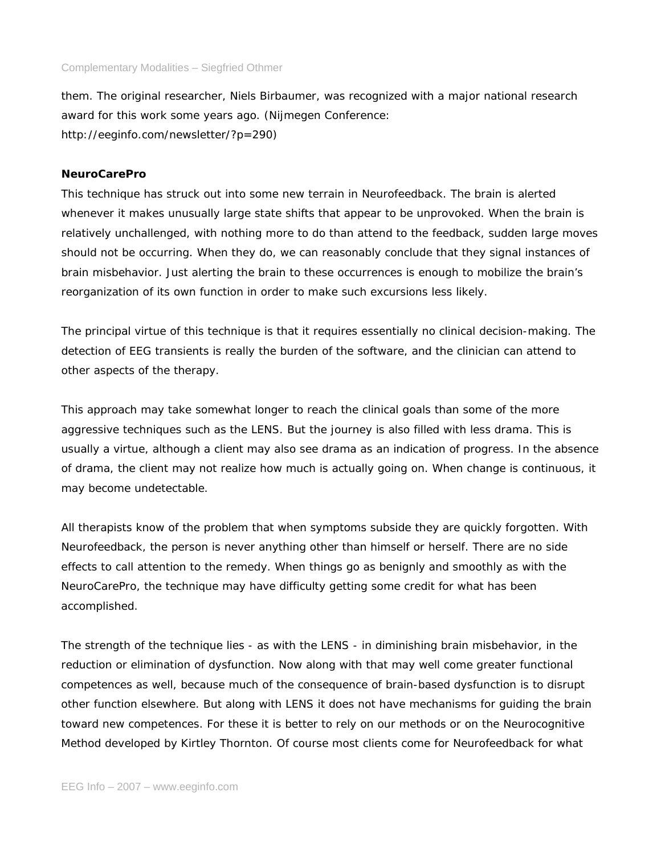them. The original researcher, Niels Birbaumer, was recognized with a major national research award for this work some years ago. (Nijmegen Conference: http://eeginfo.com/newsletter/?p=290)

## **NeuroCarePro**

This technique has struck out into some new terrain in Neurofeedback. The brain is alerted whenever it makes unusually large state shifts that appear to be unprovoked. When the brain is relatively unchallenged, with nothing more to do than attend to the feedback, sudden large moves should not be occurring. When they do, we can reasonably conclude that they signal instances of brain misbehavior. Just alerting the brain to these occurrences is enough to mobilize the brain's reorganization of its own function in order to make such excursions less likely.

The principal virtue of this technique is that it requires essentially no clinical decision-making. The detection of EEG transients is really the burden of the software, and the clinician can attend to other aspects of the therapy.

This approach may take somewhat longer to reach the clinical goals than some of the more aggressive techniques such as the LENS. But the journey is also filled with less drama. This is usually a virtue, although a client may also see drama as an indication of progress. In the absence of drama, the client may not realize how much is actually going on. When change is continuous, it may become undetectable.

All therapists know of the problem that when symptoms subside they are quickly forgotten. With Neurofeedback, the person is never anything other than himself or herself. There are no side effects to call attention to the remedy. When things go as benignly and smoothly as with the NeuroCarePro, the technique may have difficulty getting some credit for what has been accomplished.

The strength of the technique lies - as with the LENS - in diminishing brain misbehavior, in the reduction or elimination of dysfunction. Now along with that may well come greater functional competences as well, because much of the consequence of brain-based dysfunction is to disrupt other function elsewhere. But along with LENS it does not have mechanisms for guiding the brain toward new competences. For these it is better to rely on our methods or on the Neurocognitive Method developed by Kirtley Thornton. Of course most clients come for Neurofeedback for what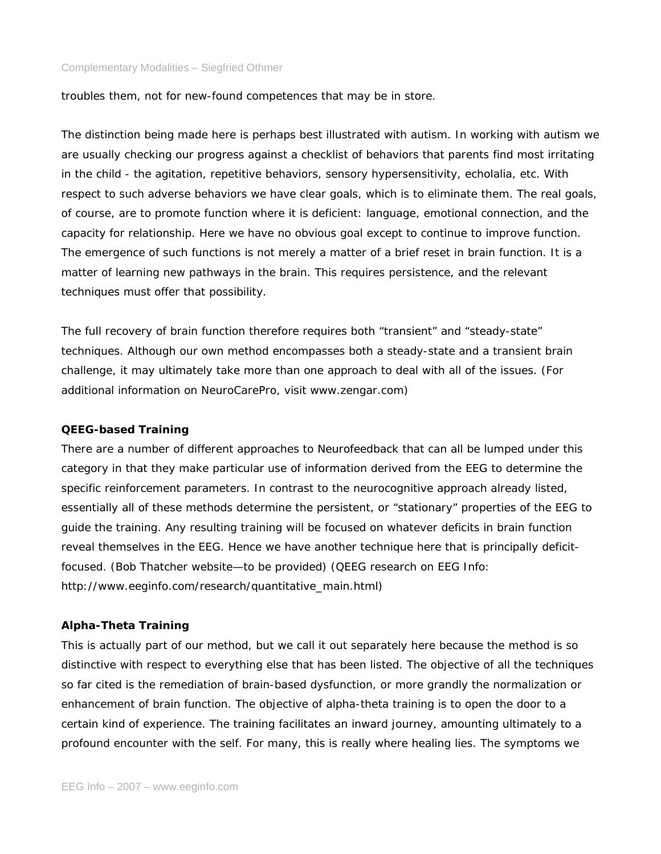troubles them, not for new-found competences that may be in store.

The distinction being made here is perhaps best illustrated with autism. In working with autism we are usually checking our progress against a checklist of behaviors that parents find most irritating in the child - the agitation, repetitive behaviors, sensory hypersensitivity, echolalia, etc. With respect to such adverse behaviors we have clear goals, which is to eliminate them. The real goals, of course, are to promote function where it is deficient: language, emotional connection, and the capacity for relationship. Here we have no obvious goal except to continue to improve function. The emergence of such functions is not merely a matter of a brief reset in brain function. It is a matter of learning new pathways in the brain. This requires persistence, and the relevant techniques must offer that possibility.

The full recovery of brain function therefore requires both "transient" and "steady-state" techniques. Although our own method encompasses both a steady-state and a transient brain challenge, it may ultimately take more than one approach to deal with all of the issues. (For additional information on NeuroCarePro, visit www.zengar.com)

### **QEEG-based Training**

There are a number of different approaches to Neurofeedback that can all be lumped under this category in that they make particular use of information derived from the EEG to determine the specific reinforcement parameters. In contrast to the neurocognitive approach already listed, essentially all of these methods determine the persistent, or "stationary" properties of the EEG to guide the training. Any resulting training will be focused on whatever deficits in brain function reveal themselves in the EEG. Hence we have another technique here that is principally deficitfocused. (Bob Thatcher website—to be provided) (QEEG research on EEG Info: http://www.eeginfo.com/research/quantitative\_main.html)

### **Alpha-Theta Training**

This is actually part of our method, but we call it out separately here because the method is so distinctive with respect to everything else that has been listed. The objective of all the techniques so far cited is the remediation of brain-based dysfunction, or more grandly the normalization or enhancement of brain function. The objective of alpha-theta training is to open the door to a certain kind of experience. The training facilitates an inward journey, amounting ultimately to a profound encounter with the self. For many, this is really where healing lies. The symptoms we